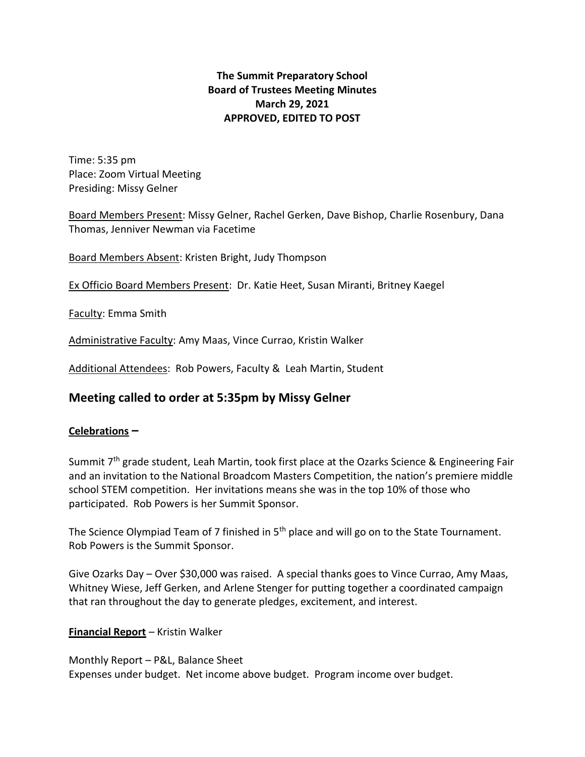## **The Summit Preparatory School Board of Trustees Meeting Minutes March 29, 2021 APPROVED, EDITED TO POST**

Time: 5:35 pm Place: Zoom Virtual Meeting Presiding: Missy Gelner

Board Members Present: Missy Gelner, Rachel Gerken, Dave Bishop, Charlie Rosenbury, Dana Thomas, Jenniver Newman via Facetime

Board Members Absent: Kristen Bright, Judy Thompson

Ex Officio Board Members Present: Dr. Katie Heet, Susan Miranti, Britney Kaegel

Faculty: Emma Smith

Administrative Faculty: Amy Maas, Vince Currao, Kristin Walker

Additional Attendees: Rob Powers, Faculty & Leah Martin, Student

# **Meeting called to order at 5:35pm by Missy Gelner**

### **Celebrations –**

Summit 7<sup>th</sup> grade student, Leah Martin, took first place at the Ozarks Science & Engineering Fair and an invitation to the National Broadcom Masters Competition, the nation's premiere middle school STEM competition. Her invitations means she was in the top 10% of those who participated. Rob Powers is her Summit Sponsor.

The Science Olympiad Team of 7 finished in 5<sup>th</sup> place and will go on to the State Tournament. Rob Powers is the Summit Sponsor.

Give Ozarks Day – Over \$30,000 was raised. A special thanks goes to Vince Currao, Amy Maas, Whitney Wiese, Jeff Gerken, and Arlene Stenger for putting together a coordinated campaign that ran throughout the day to generate pledges, excitement, and interest.

**Financial Report** – Kristin Walker

Monthly Report – P&L, Balance Sheet Expenses under budget. Net income above budget. Program income over budget.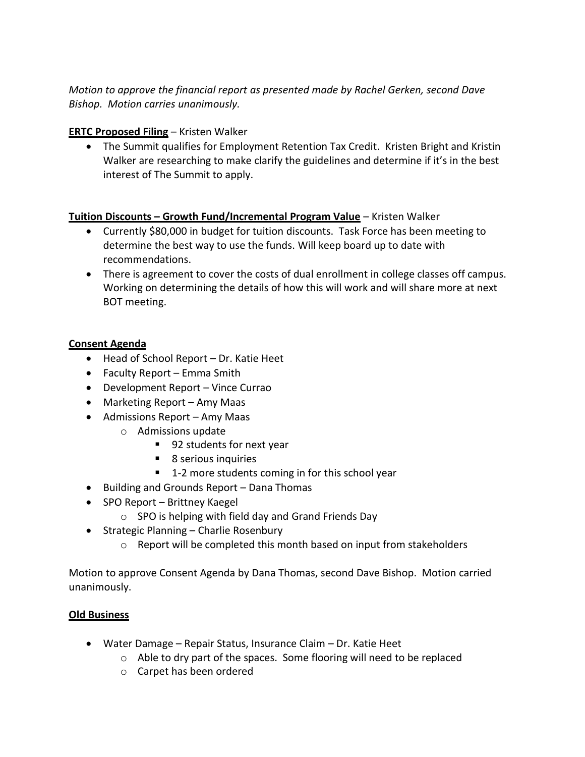*Motion to approve the financial report as presented made by Rachel Gerken, second Dave Bishop. Motion carries unanimously.* 

## **ERTC Proposed Filing** – Kristen Walker

• The Summit qualifies for Employment Retention Tax Credit. Kristen Bright and Kristin Walker are researching to make clarify the guidelines and determine if it's in the best interest of The Summit to apply.

## **Tuition Discounts – Growth Fund/Incremental Program Value** – Kristen Walker

- Currently \$80,000 in budget for tuition discounts. Task Force has been meeting to determine the best way to use the funds. Will keep board up to date with recommendations.
- There is agreement to cover the costs of dual enrollment in college classes off campus. Working on determining the details of how this will work and will share more at next BOT meeting.

## **Consent Agenda**

- Head of School Report Dr. Katie Heet
- Faculty Report Emma Smith
- Development Report Vince Currao
- Marketing Report Amy Maas
- Admissions Report Amy Maas
	- o Admissions update
		- 92 students for next year
		- 8 serious inquiries
		- 1-2 more students coming in for this school year
- Building and Grounds Report Dana Thomas
- SPO Report Brittney Kaegel
	- o SPO is helping with field day and Grand Friends Day
- Strategic Planning Charlie Rosenbury
	- o Report will be completed this month based on input from stakeholders

Motion to approve Consent Agenda by Dana Thomas, second Dave Bishop. Motion carried unanimously.

# **Old Business**

- Water Damage Repair Status, Insurance Claim Dr. Katie Heet
	- o Able to dry part of the spaces. Some flooring will need to be replaced
	- o Carpet has been ordered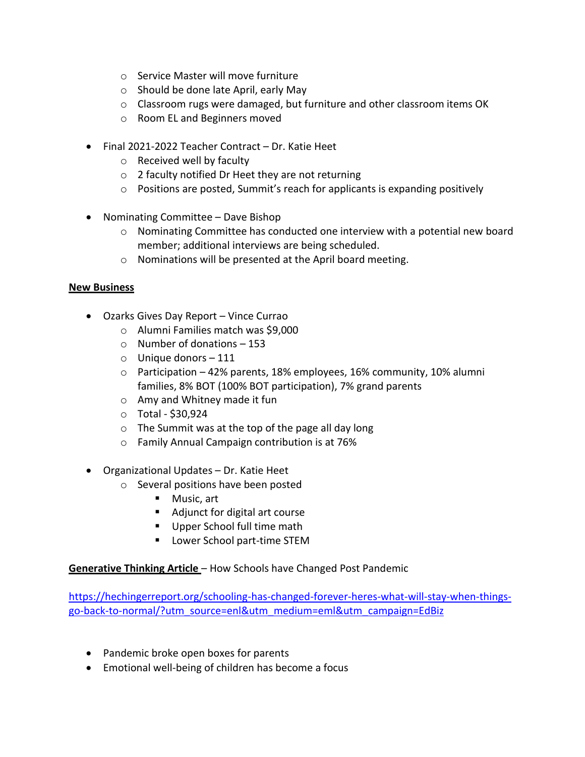- o Service Master will move furniture
- o Should be done late April, early May
- $\circ$  Classroom rugs were damaged, but furniture and other classroom items OK
- o Room EL and Beginners moved
- Final 2021-2022 Teacher Contract Dr. Katie Heet
	- o Received well by faculty
	- o 2 faculty notified Dr Heet they are not returning
	- o Positions are posted, Summit's reach for applicants is expanding positively
- Nominating Committee Dave Bishop
	- o Nominating Committee has conducted one interview with a potential new board member; additional interviews are being scheduled.
	- o Nominations will be presented at the April board meeting.

### **New Business**

- Ozarks Gives Day Report Vince Currao
	- o Alumni Families match was \$9,000
	- o Number of donations 153
	- o Unique donors 111
	- $\circ$  Participation 42% parents, 18% employees, 16% community, 10% alumni families, 8% BOT (100% BOT participation), 7% grand parents
	- o Amy and Whitney made it fun
	- $\circ$  Total \$30,924
	- $\circ$  The Summit was at the top of the page all day long
	- o Family Annual Campaign contribution is at 76%
- Organizational Updates Dr. Katie Heet
	- o Several positions have been posted
		- Music, art
		- Adjunct for digital art course
		- Upper School full time math
		- Lower School part-time STEM

**Generative Thinking Article** – How Schools have Changed Post Pandemic

[https://hechingerreport.org/schooling-has-changed-forever-heres-what-will-stay-when-things](https://hechingerreport.org/schooling-has-changed-forever-heres-what-will-stay-when-things-go-back-to-normal/?utm_source=enl&utm_medium=eml&utm_campaign=EdBiz)[go-back-to-normal/?utm\\_source=enl&utm\\_medium=eml&utm\\_campaign=EdBiz](https://hechingerreport.org/schooling-has-changed-forever-heres-what-will-stay-when-things-go-back-to-normal/?utm_source=enl&utm_medium=eml&utm_campaign=EdBiz)

- Pandemic broke open boxes for parents
- Emotional well-being of children has become a focus